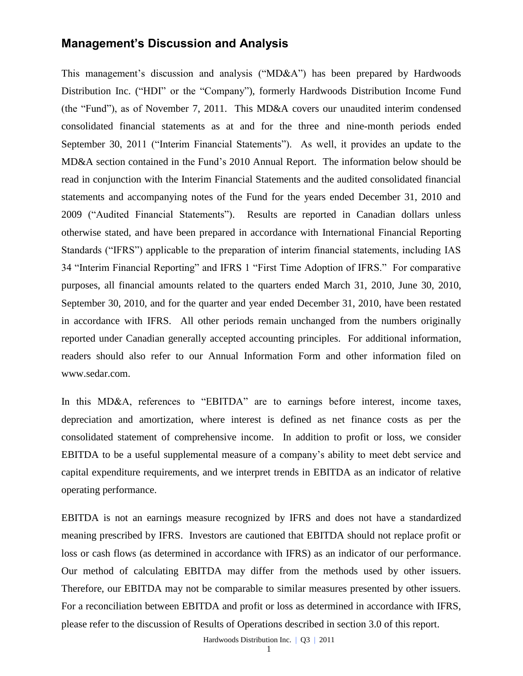## **Management's Discussion and Analysis**

This management's discussion and analysis ("MD&A") has been prepared by Hardwoods Distribution Inc. ("HDI" or the "Company"), formerly Hardwoods Distribution Income Fund (the "Fund"), as of November 7, 2011. This MD&A covers our unaudited interim condensed consolidated financial statements as at and for the three and nine-month periods ended September 30, 2011 ("Interim Financial Statements"). As well, it provides an update to the MD&A section contained in the Fund's 2010 Annual Report. The information below should be read in conjunction with the Interim Financial Statements and the audited consolidated financial statements and accompanying notes of the Fund for the years ended December 31, 2010 and 2009 ("Audited Financial Statements"). Results are reported in Canadian dollars unless otherwise stated, and have been prepared in accordance with International Financial Reporting Standards ("IFRS") applicable to the preparation of interim financial statements, including IAS 34 "Interim Financial Reporting" and IFRS 1 "First Time Adoption of IFRS." For comparative purposes, all financial amounts related to the quarters ended March 31, 2010, June 30, 2010, September 30, 2010, and for the quarter and year ended December 31, 2010, have been restated in accordance with IFRS. All other periods remain unchanged from the numbers originally reported under Canadian generally accepted accounting principles. For additional information, readers should also refer to our Annual Information Form and other information filed on [www.sedar.com.](http://www.sedar.com/)

In this MD&A, references to "EBITDA" are to earnings before interest, income taxes, depreciation and amortization, where interest is defined as net finance costs as per the consolidated statement of comprehensive income. In addition to profit or loss, we consider EBITDA to be a useful supplemental measure of a company's ability to meet debt service and capital expenditure requirements, and we interpret trends in EBITDA as an indicator of relative operating performance.

EBITDA is not an earnings measure recognized by IFRS and does not have a standardized meaning prescribed by IFRS. Investors are cautioned that EBITDA should not replace profit or loss or cash flows (as determined in accordance with IFRS) as an indicator of our performance. Our method of calculating EBITDA may differ from the methods used by other issuers. Therefore, our EBITDA may not be comparable to similar measures presented by other issuers. For a reconciliation between EBITDA and profit or loss as determined in accordance with IFRS, please refer to the discussion of Results of Operations described in section 3.0 of this report.

Hardwoods Distribution Inc. | Q3 | 2011

1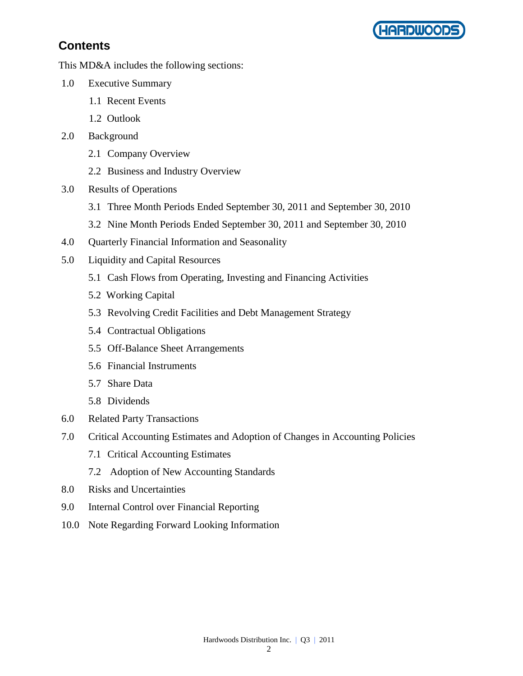

# **Contents**

This MD&A includes the following sections:

- 1.0 Executive Summary
	- 1.1 Recent Events
	- 1.2 Outlook
- 2.0 Background
	- 2.1 Company Overview
	- 2.2 Business and Industry Overview
- 3.0 Results of Operations
	- 3.1 Three Month Periods Ended September 30, 2011 and September 30, 2010
	- 3.2 Nine Month Periods Ended September 30, 2011 and September 30, 2010
- 4.0 Quarterly Financial Information and Seasonality
- 5.0 Liquidity and Capital Resources
	- 5.1 Cash Flows from Operating, Investing and Financing Activities
	- 5.2 Working Capital
	- 5.3 Revolving Credit Facilities and Debt Management Strategy
	- 5.4 Contractual Obligations
	- 5.5 Off-Balance Sheet Arrangements
	- 5.6 Financial Instruments
	- 5.7 Share Data
	- 5.8 Dividends
- 6.0 Related Party Transactions
- 7.0 Critical Accounting Estimates and Adoption of Changes in Accounting Policies
	- 7.1 Critical Accounting Estimates
	- 7.2 Adoption of New Accounting Standards
- 8.0 Risks and Uncertainties
- 9.0 Internal Control over Financial Reporting
- 10.0 Note Regarding Forward Looking Information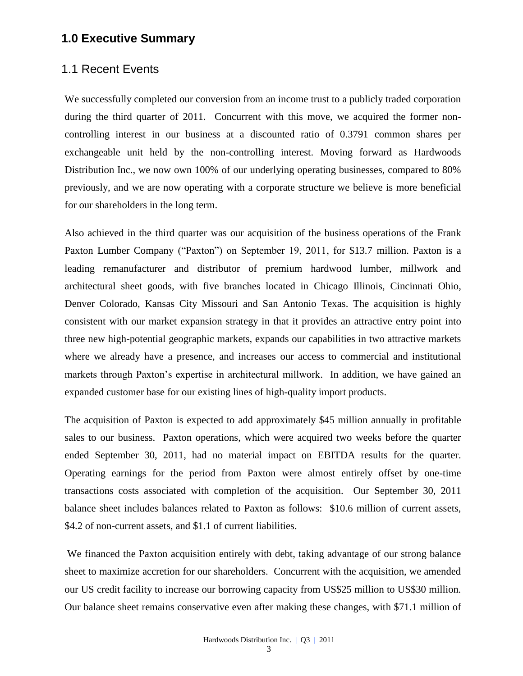## **1.0 Executive Summary**

### 1.1 Recent Events

We successfully completed our conversion from an income trust to a publicly traded corporation during the third quarter of 2011. Concurrent with this move, we acquired the former noncontrolling interest in our business at a discounted ratio of 0.3791 common shares per exchangeable unit held by the non-controlling interest. Moving forward as Hardwoods Distribution Inc., we now own 100% of our underlying operating businesses, compared to 80% previously, and we are now operating with a corporate structure we believe is more beneficial for our shareholders in the long term.

Also achieved in the third quarter was our acquisition of the business operations of the Frank Paxton Lumber Company ("Paxton") on September 19, 2011, for \$13.7 million. Paxton is a leading remanufacturer and distributor of premium hardwood lumber, millwork and architectural sheet goods, with five branches located in Chicago Illinois, Cincinnati Ohio, Denver Colorado, Kansas City Missouri and San Antonio Texas. The acquisition is highly consistent with our market expansion strategy in that it provides an attractive entry point into three new high-potential geographic markets, expands our capabilities in two attractive markets where we already have a presence, and increases our access to commercial and institutional markets through Paxton's expertise in architectural millwork. In addition, we have gained an expanded customer base for our existing lines of high-quality import products.

The acquisition of Paxton is expected to add approximately \$45 million annually in profitable sales to our business. Paxton operations, which were acquired two weeks before the quarter ended September 30, 2011, had no material impact on EBITDA results for the quarter. Operating earnings for the period from Paxton were almost entirely offset by one-time transactions costs associated with completion of the acquisition. Our September 30, 2011 balance sheet includes balances related to Paxton as follows: \$10.6 million of current assets, \$4.2 of non-current assets, and \$1.1 of current liabilities.

We financed the Paxton acquisition entirely with debt, taking advantage of our strong balance sheet to maximize accretion for our shareholders. Concurrent with the acquisition, we amended our US credit facility to increase our borrowing capacity from US\$25 million to US\$30 million. Our balance sheet remains conservative even after making these changes, with \$71.1 million of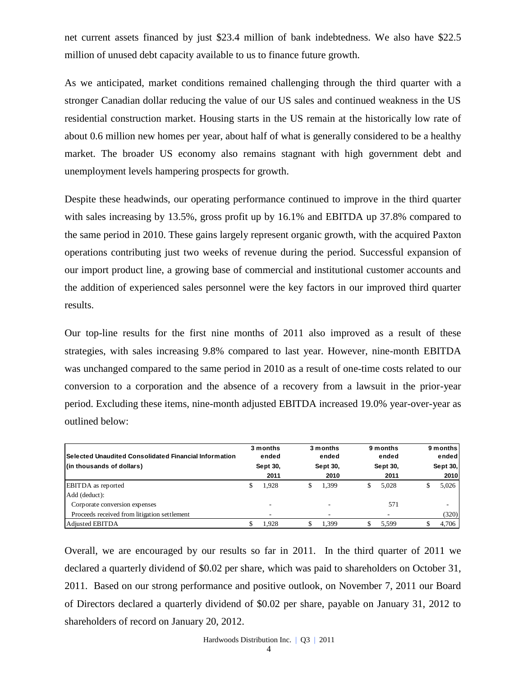net current assets financed by just \$23.4 million of bank indebtedness. We also have \$22.5 million of unused debt capacity available to us to finance future growth.

As we anticipated, market conditions remained challenging through the third quarter with a stronger Canadian dollar reducing the value of our US sales and continued weakness in the US residential construction market. Housing starts in the US remain at the historically low rate of about 0.6 million new homes per year, about half of what is generally considered to be a healthy market. The broader US economy also remains stagnant with high government debt and unemployment levels hampering prospects for growth.

Despite these headwinds, our operating performance continued to improve in the third quarter with sales increasing by 13.5%, gross profit up by 16.1% and EBITDA up 37.8% compared to the same period in 2010. These gains largely represent organic growth, with the acquired Paxton operations contributing just two weeks of revenue during the period. Successful expansion of our import product line, a growing base of commercial and institutional customer accounts and the addition of experienced sales personnel were the key factors in our improved third quarter results.

Our top-line results for the first nine months of 2011 also improved as a result of these strategies, with sales increasing 9.8% compared to last year. However, nine-month EBITDA was unchanged compared to the same period in 2010 as a result of one-time costs related to our conversion to a corporation and the absence of a recovery from a lawsuit in the prior-year period. Excluding these items, nine-month adjusted EBITDA increased 19.0% year-over-year as outlined below:

| lSelected Unaudited Consolidated Financial Information<br>(in thousands of dollars) | 3 months<br>ended<br>Sept 30, | 3 months<br>ended<br>Sept 30, | 9 months<br>ended<br>Sept 30, | 9 months<br>ended<br>Sept 30, |
|-------------------------------------------------------------------------------------|-------------------------------|-------------------------------|-------------------------------|-------------------------------|
|                                                                                     | 2011                          | 2010                          | 2011                          | 2010                          |
| <b>EBITDA</b> as reported                                                           | 1.928                         | \$<br>1.399                   | 5.028                         | 5,026                         |
| Add (deduct):                                                                       |                               |                               |                               |                               |
| Corporate conversion expenses                                                       |                               |                               | 571                           | -                             |
| Proceeds received from litigation settlement                                        |                               |                               |                               | (320)                         |
| Adjusted EBITDA                                                                     | 1.928                         | 1.399                         | 5.599                         | 4,706                         |

Overall, we are encouraged by our results so far in 2011. In the third quarter of 2011 we declared a quarterly dividend of \$0.02 per share, which was paid to shareholders on October 31, 2011. Based on our strong performance and positive outlook, on November 7, 2011 our Board of Directors declared a quarterly dividend of \$0.02 per share, payable on January 31, 2012 to Selected Unaudited Consolidated Financial Information<br>
(in thousands of dollars)<br>
EBITDA as reported<br>
Add (deduct):<br>
Corporate conversion expenses<br>
<u>Proceeds received from litigation settlement</u><br>
Adjusted EBITDA<br>
Overall,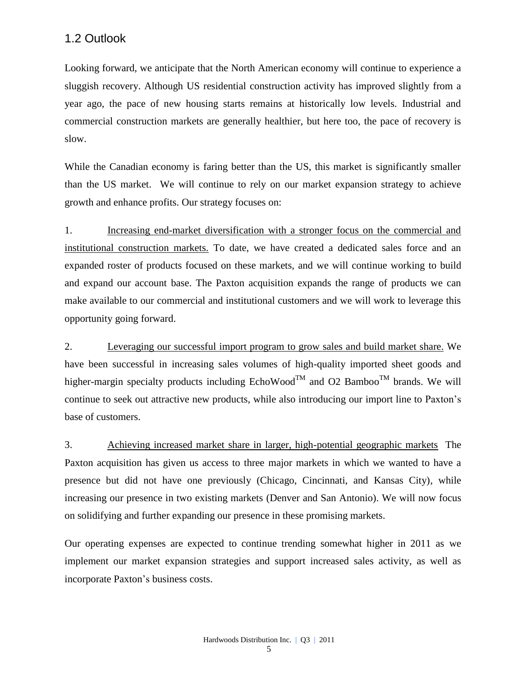### 1.2 Outlook

Looking forward, we anticipate that the North American economy will continue to experience a sluggish recovery. Although US residential construction activity has improved slightly from a year ago, the pace of new housing starts remains at historically low levels. Industrial and commercial construction markets are generally healthier, but here too, the pace of recovery is slow.

While the Canadian economy is faring better than the US, this market is significantly smaller than the US market. We will continue to rely on our market expansion strategy to achieve growth and enhance profits. Our strategy focuses on:

1. Increasing end-market diversification with a stronger focus on the commercial and institutional construction markets. To date, we have created a dedicated sales force and an expanded roster of products focused on these markets, and we will continue working to build and expand our account base. The Paxton acquisition expands the range of products we can make available to our commercial and institutional customers and we will work to leverage this opportunity going forward.

2. Leveraging our successful import program to grow sales and build market share. We have been successful in increasing sales volumes of high-quality imported sheet goods and higher-margin specialty products including EchoWood<sup>TM</sup> and O2 Bamboo<sup>TM</sup> brands. We will continue to seek out attractive new products, while also introducing our import line to Paxton's base of customers.

3. Achieving increased market share in larger, high-potential geographic markets The Paxton acquisition has given us access to three major markets in which we wanted to have a presence but did not have one previously (Chicago, Cincinnati, and Kansas City), while increasing our presence in two existing markets (Denver and San Antonio). We will now focus on solidifying and further expanding our presence in these promising markets.

Our operating expenses are expected to continue trending somewhat higher in 2011 as we implement our market expansion strategies and support increased sales activity, as well as incorporate Paxton's business costs.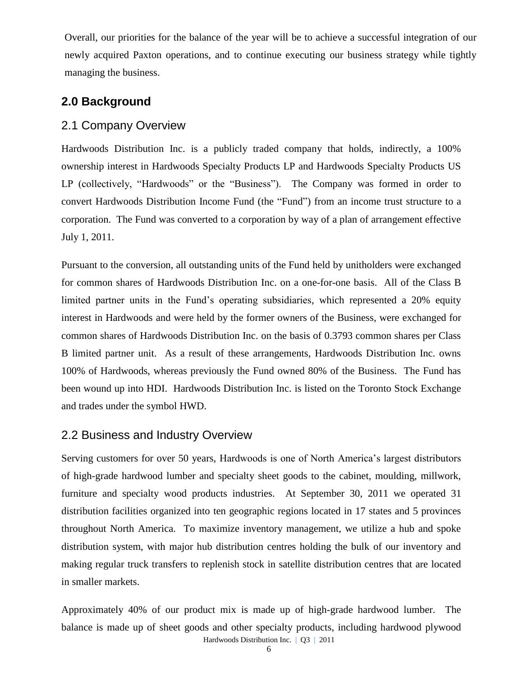Overall, our priorities for the balance of the year will be to achieve a successful integration of our newly acquired Paxton operations, and to continue executing our business strategy while tightly managing the business.

## **2.0 Background**

### 2.1 Company Overview

Hardwoods Distribution Inc. is a publicly traded company that holds, indirectly, a 100% ownership interest in Hardwoods Specialty Products LP and Hardwoods Specialty Products US LP (collectively, "Hardwoods" or the "Business"). The Company was formed in order to convert Hardwoods Distribution Income Fund (the "Fund") from an income trust structure to a corporation. The Fund was converted to a corporation by way of a plan of arrangement effective July 1, 2011.

Pursuant to the conversion, all outstanding units of the Fund held by unitholders were exchanged for common shares of Hardwoods Distribution Inc. on a one-for-one basis. All of the Class B limited partner units in the Fund's operating subsidiaries, which represented a 20% equity interest in Hardwoods and were held by the former owners of the Business, were exchanged for common shares of Hardwoods Distribution Inc. on the basis of 0.3793 common shares per Class B limited partner unit. As a result of these arrangements, Hardwoods Distribution Inc. owns 100% of Hardwoods, whereas previously the Fund owned 80% of the Business. The Fund has been wound up into HDI. Hardwoods Distribution Inc. is listed on the [Toronto Stock Exchange](http://tmx.quotemedia.com/quote.php?qm_symbol=TPK&locale=EN)  and trades [under the symbol](http://tmx.quotemedia.com/quote.php?qm_symbol=TPK&locale=EN) HWD.

## 2.2 Business and Industry Overview

Serving customers for over 50 years, Hardwoods is one of North America's largest distributors of high-grade hardwood lumber and specialty sheet goods to the cabinet, moulding, millwork, furniture and specialty wood products industries. At September 30, 2011 we operated 31 distribution facilities organized into ten geographic regions located in 17 states and 5 provinces throughout North America. To maximize inventory management, we utilize a hub and spoke distribution system, with major hub distribution centres holding the bulk of our inventory and making regular truck transfers to replenish stock in satellite distribution centres that are located in smaller markets.

Hardwoods Distribution Inc. | Q3 | 2011 Approximately 40% of our product mix is made up of high-grade hardwood lumber. The balance is made up of sheet goods and other specialty products, including hardwood plywood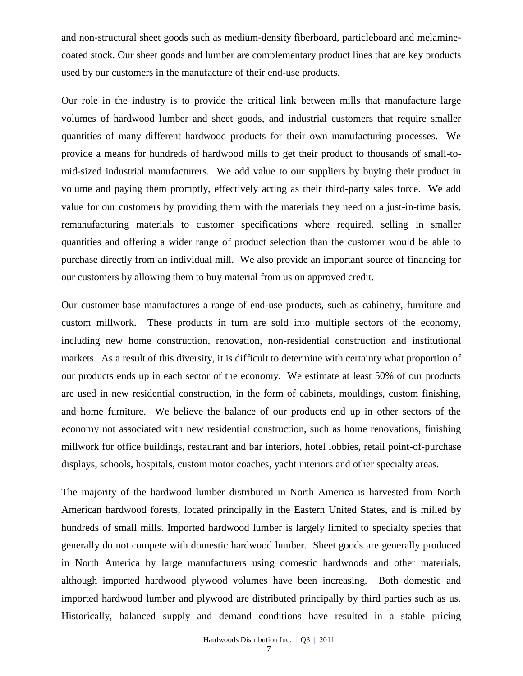and non-structural sheet goods such as medium-density fiberboard, particleboard and melaminecoated stock. Our sheet goods and lumber are complementary product lines that are key products used by our customers in the manufacture of their end-use products.

Our role in the industry is to provide the critical link between mills that manufacture large volumes of hardwood lumber and sheet goods, and industrial customers that require smaller quantities of many different hardwood products for their own manufacturing processes. We provide a means for hundreds of hardwood mills to get their product to thousands of small-tomid-sized industrial manufacturers. We add value to our suppliers by buying their product in volume and paying them promptly, effectively acting as their third-party sales force. We add value for our customers by providing them with the materials they need on a just-in-time basis, remanufacturing materials to customer specifications where required, selling in smaller quantities and offering a wider range of product selection than the customer would be able to purchase directly from an individual mill. We also provide an important source of financing for our customers by allowing them to buy material from us on approved credit.

Our customer base manufactures a range of end-use products, such as cabinetry, furniture and custom millwork. These products in turn are sold into multiple sectors of the economy, including new home construction, renovation, non-residential construction and institutional markets. As a result of this diversity, it is difficult to determine with certainty what proportion of our products ends up in each sector of the economy. We estimate at least 50% of our products are used in new residential construction, in the form of cabinets, mouldings, custom finishing, and home furniture. We believe the balance of our products end up in other sectors of the economy not associated with new residential construction, such as home renovations, finishing millwork for office buildings, restaurant and bar interiors, hotel lobbies, retail point-of-purchase displays, schools, hospitals, custom motor coaches, yacht interiors and other specialty areas.

The majority of the hardwood lumber distributed in North America is harvested from North American hardwood forests, located principally in the Eastern United States, and is milled by hundreds of small mills. Imported hardwood lumber is largely limited to specialty species that generally do not compete with domestic hardwood lumber. Sheet goods are generally produced in North America by large manufacturers using domestic hardwoods and other materials, although imported hardwood plywood volumes have been increasing. Both domestic and imported hardwood lumber and plywood are distributed principally by third parties such as us. Historically, balanced supply and demand conditions have resulted in a stable pricing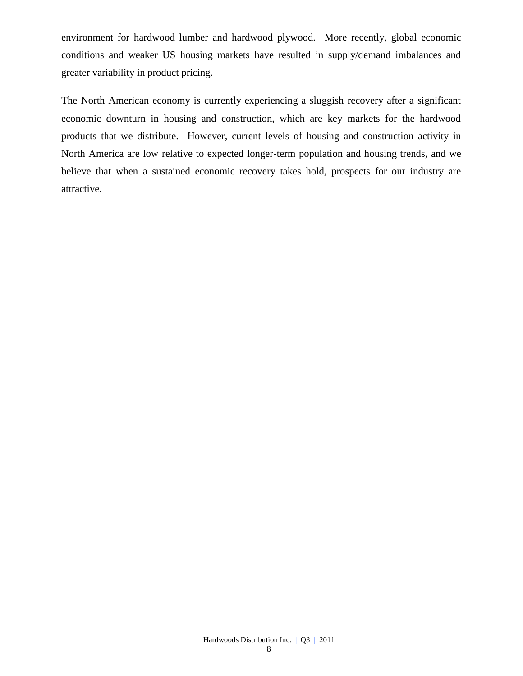environment for hardwood lumber and hardwood plywood. More recently, global economic conditions and weaker US housing markets have resulted in supply/demand imbalances and greater variability in product pricing.

The North American economy is currently experiencing a sluggish recovery after a significant economic downturn in housing and construction, which are key markets for the hardwood products that we distribute. However, current levels of housing and construction activity in North America are low relative to expected longer-term population and housing trends, and we believe that when a sustained economic recovery takes hold, prospects for our industry are attractive.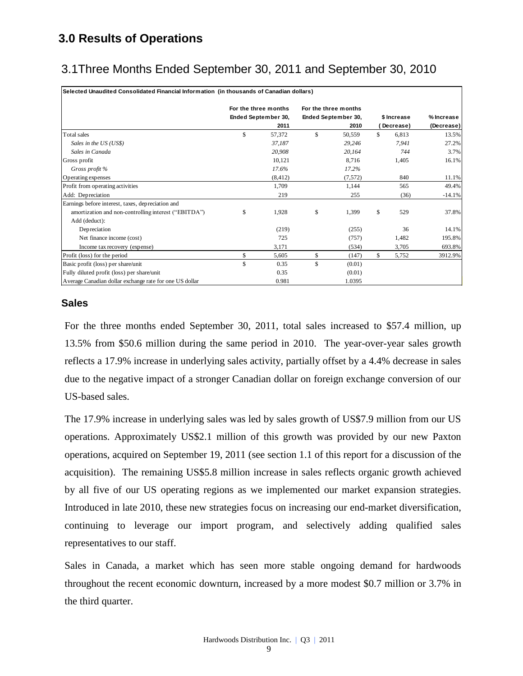# **3.0 Results of Operations**

# 3.1Three Months Ended September 30, 2011 and September 30, 2010

| Selected Unaudited Consolidated Financial Information (in thousands of Canadian dollars) |  |
|------------------------------------------------------------------------------------------|--|
|                                                                                          |  |

|                                                         | For the three months | For the three months |    |             |            |
|---------------------------------------------------------|----------------------|----------------------|----|-------------|------------|
|                                                         | Ended September 30,  | Ended September 30,  |    | \$ Increase | % Increase |
|                                                         | 2011                 | 2010                 |    | Decrease)   | (Decrease) |
| Total sales                                             | \$<br>57,372         | \$<br>50,559         | \$ | 6,813       | 13.5%      |
| Sales in the US (US\$)                                  | 37,187               | 29,246               |    | 7,941       | 27.2%      |
| Sales in Canada                                         | 20,908               | 20,164               |    | 744         | 3.7%       |
| Gross profit                                            | 10,121               | 8,716                |    | 1,405       | 16.1%      |
| Gross profit %                                          | 17.6%                | 17.2%                |    |             |            |
| Operating expenses                                      | (8, 412)             | (7,572)              |    | 840         | 11.1%      |
| Profit from operating activities                        | 1,709                | 1,144                |    | 565         | 49.4%      |
| Add: Depreciation                                       | 219                  | 255                  |    | (36)        | $-14.1%$   |
| Earnings before interest, taxes, depreciation and       |                      |                      |    |             |            |
| amortization and non-controlling interest ("EBITDA")    | \$<br>1,928          | \$<br>1,399          | \$ | 529         | 37.8%      |
| Add (deduct):                                           |                      |                      |    |             |            |
| Depreciation                                            | (219)                | (255)                |    | 36          | 14.1%      |
| Net finance income (cost)                               | 725                  | (757)                |    | 1,482       | 195.8%     |
| Income tax recovery (expense)                           | 3,171                | (534)                |    | 3,705       | 693.8%     |
| Profit (loss) for the period                            | \$<br>5,605          | \$<br>(147)          | S. | 5,752       | 3912.9%    |
| Basic profit (loss) per share/unit                      | \$<br>0.35           | \$<br>(0.01)         |    |             |            |
| Fully diluted profit (loss) per share/unit              | 0.35                 | (0.01)               |    |             |            |
| Average Canadian dollar exchange rate for one US dollar | 0.981                | 1.0395               |    |             |            |

#### **Sales**

For the three months ended September 30, 2011, total sales increased to \$57.4 million, up 13.5% from \$50.6 million during the same period in 2010. The year-over-year sales growth reflects a 17.9% increase in underlying sales activity, partially offset by a 4.4% decrease in sales due to the negative impact of a stronger Canadian dollar on foreign exchange conversion of our US-based sales.

The 17.9% increase in underlying sales was led by sales growth of US\$7.9 million from our US operations. Approximately US\$2.1 million of this growth was provided by our new Paxton operations, acquired on September 19, 2011 (see section 1.1 of this report for a discussion of the acquisition). The remaining US\$5.8 million increase in sales reflects organic growth achieved by all five of our US operating regions as we implemented our market expansion strategies. Introduced in late 2010, these new strategies focus on increasing our end-market diversification, continuing to leverage our import program, and selectively adding qualified sales representatives to our staff.

Sales in Canada, a market which has seen more stable ongoing demand for hardwoods throughout the recent economic downturn, increased by a more modest \$0.7 million or 3.7% in the third quarter.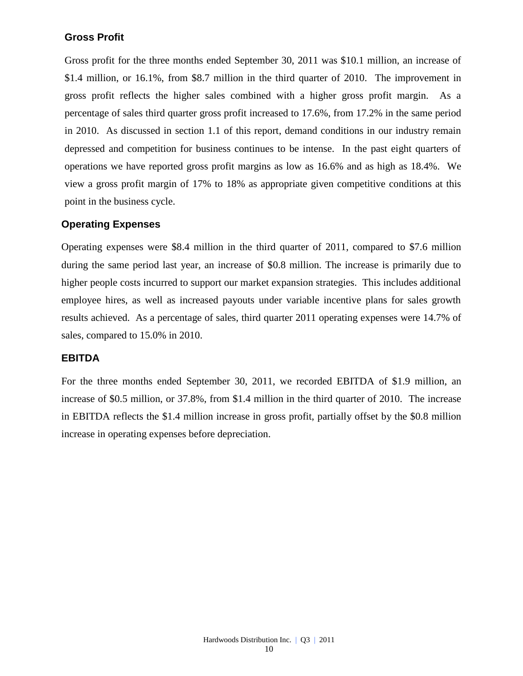### **Gross Profit**

Gross profit for the three months ended September 30, 2011 was \$10.1 million, an increase of \$1.4 million, or 16.1%, from \$8.7 million in the third quarter of 2010. The improvement in gross profit reflects the higher sales combined with a higher gross profit margin. As a percentage of sales third quarter gross profit increased to 17.6%, from 17.2% in the same period in 2010. As discussed in section 1.1 of this report, demand conditions in our industry remain depressed and competition for business continues to be intense. In the past eight quarters of operations we have reported gross profit margins as low as 16.6% and as high as 18.4%. We view a gross profit margin of 17% to 18% as appropriate given competitive conditions at this point in the business cycle.

### **Operating Expenses**

Operating expenses were \$8.4 million in the third quarter of 2011, compared to \$7.6 million during the same period last year, an increase of \$0.8 million. The increase is primarily due to higher people costs incurred to support our market expansion strategies. This includes additional employee hires, as well as increased payouts under variable incentive plans for sales growth results achieved. As a percentage of sales, third quarter 2011 operating expenses were 14.7% of sales, compared to 15.0% in 2010.

### **EBITDA**

For the three months ended September 30, 2011, we recorded EBITDA of \$1.9 million, an increase of \$0.5 million, or 37.8%, from \$1.4 million in the third quarter of 2010. The increase in EBITDA reflects the \$1.4 million increase in gross profit, partially offset by the \$0.8 million increase in operating expenses before depreciation.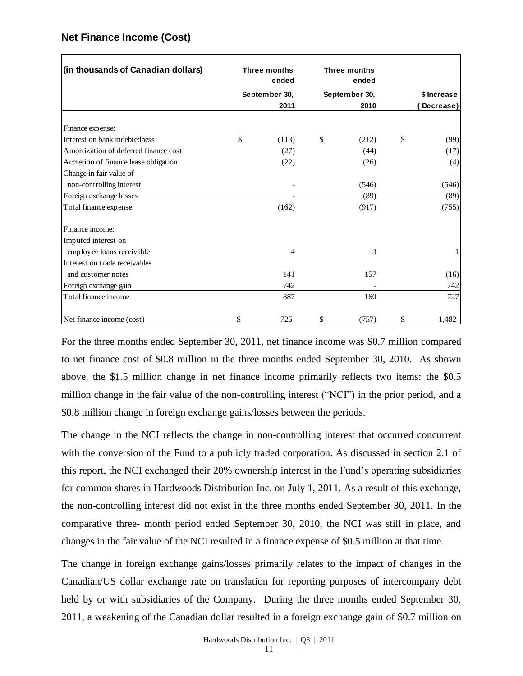| (in thousands of Canadian dollars)                                                                                                                                                           | <b>Three months</b><br>ended | <b>Three months</b><br>ended |             |
|----------------------------------------------------------------------------------------------------------------------------------------------------------------------------------------------|------------------------------|------------------------------|-------------|
|                                                                                                                                                                                              | September 30,                | September 30,                | \$ Increase |
|                                                                                                                                                                                              | 2011                         | 2010                         | Decrease)   |
| Finance expense:                                                                                                                                                                             |                              |                              |             |
| Interest on bank indebtedness                                                                                                                                                                | \$<br>(113)                  | \$<br>(212)                  | \$<br>(99)  |
| Amortization of deferred finance cost                                                                                                                                                        | (27)                         | (44)                         | (17)        |
| Accretion of finance lease obligation                                                                                                                                                        | (22)                         | (26)                         | (4)         |
| Change in fair value of                                                                                                                                                                      |                              |                              |             |
| non-controlling interest                                                                                                                                                                     |                              | (546)                        | (546)       |
| Foreign exchange losses                                                                                                                                                                      |                              | (89)                         | (89)        |
| Total finance expense                                                                                                                                                                        | (162)                        | (917)                        | (755)       |
| Finance income:                                                                                                                                                                              |                              |                              |             |
| Imputed interest on                                                                                                                                                                          |                              |                              |             |
| employee loans receivable                                                                                                                                                                    | 4                            | 3                            |             |
| Interest on trade receivables                                                                                                                                                                |                              |                              |             |
| and customer notes                                                                                                                                                                           | 141                          | 157                          | (16)        |
| Foreign exchange gain                                                                                                                                                                        | 742                          |                              | 742         |
| Total finance income                                                                                                                                                                         | 887                          | 160                          | 727         |
| Net finance income (cost)                                                                                                                                                                    | \$<br>725                    | \$<br>(757)                  | \$<br>1,482 |
| to net finance cost of \$0.8 million in the three months ended September 30, 2010. As shown<br>above, the \$1.5 million change in net finance income primarily reflects two items: the \$0.5 |                              |                              |             |
| million change in the fair value of the non-controlling interest ("NCI") in the prior period, and a                                                                                          |                              |                              |             |
| \$0.8 million change in foreign exchange gains/losses between the periods.                                                                                                                   |                              |                              |             |
| The change in the NCI reflects the change in non-controlling interest that occurred concurrent                                                                                               |                              |                              |             |
| with the conversion of the Fund to a publicly traded corporation. As discussed in section 2.1 of                                                                                             |                              |                              |             |
| this report, the NCI exchanged their 20% ownership interest in the Fund's operating subsidiaries                                                                                             |                              |                              |             |
| for common shares in Hardwoods Distribution Inc. on July 1, 2011. As a result of this exchange,                                                                                              |                              |                              |             |
| the non-controlling interest did not exist in the three months ended September 30, 2011. In the                                                                                              |                              |                              |             |
| comparative three- month period ended September 30, 2010, the NCI was still in place, and                                                                                                    |                              |                              |             |
| changes in the fair value of the NCI resulted in a finance expense of \$0.5 million at that time.                                                                                            |                              |                              |             |
| The change in foreign exchange gains/losses primarily relates to the impact of changes in the                                                                                                |                              |                              |             |
| Canadian/US dollar exchange rate on translation for reporting purposes of intercompany debt                                                                                                  |                              |                              |             |
| held by or with subsidiaries of the Company. During the three months ended September 30,                                                                                                     |                              |                              |             |
| 2011, a weakening of the Canadian dollar resulted in a foreign exchange gain of \$0.7 million on                                                                                             |                              |                              |             |

### **Net Finance Income (Cost)**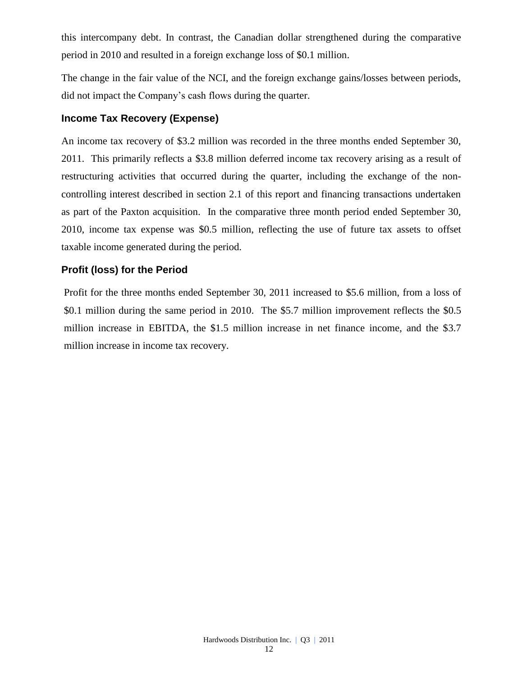this intercompany debt. In contrast, the Canadian dollar strengthened during the comparative period in 2010 and resulted in a foreign exchange loss of \$0.1 million.

The change in the fair value of the NCI, and the foreign exchange gains/losses between periods, did not impact the Company's cash flows during the quarter.

### **Income Tax Recovery (Expense)**

An income tax recovery of \$3.2 million was recorded in the three months ended September 30, 2011. This primarily reflects a \$3.8 million deferred income tax recovery arising as a result of restructuring activities that occurred during the quarter, including the exchange of the noncontrolling interest described in section 2.1 of this report and financing transactions undertaken as part of the Paxton acquisition. In the comparative three month period ended September 30, 2010, income tax expense was \$0.5 million, reflecting the use of future tax assets to offset taxable income generated during the period.

### **Profit (loss) for the Period**

Profit for the three months ended September 30, 2011 increased to \$5.6 million, from a loss of \$0.1 million during the same period in 2010. The \$5.7 million improvement reflects the \$0.5 million increase in EBITDA, the \$1.5 million increase in net finance income, and the \$3.7 million increase in income tax recovery.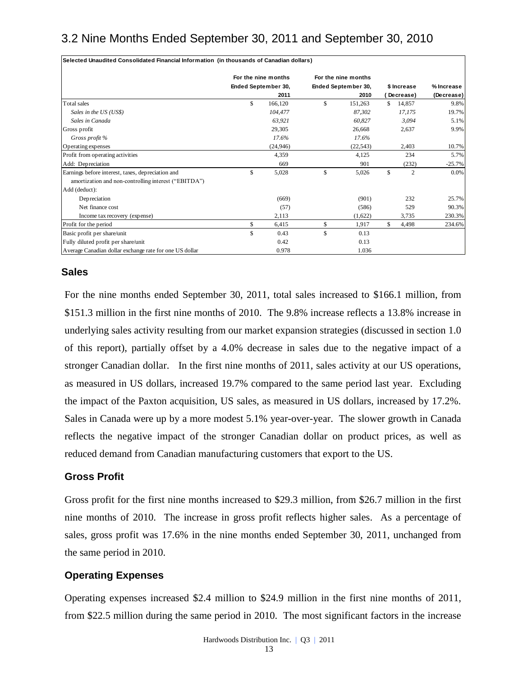# 3.2 Nine Months Ended September 30, 2011 and September 30, 2010

|                                                                                                                                                                                                                                                                                                                                                                                                                                                                                                                                                                                                                                                                              |              | For the nine months | For the nine months |                      |                  |
|------------------------------------------------------------------------------------------------------------------------------------------------------------------------------------------------------------------------------------------------------------------------------------------------------------------------------------------------------------------------------------------------------------------------------------------------------------------------------------------------------------------------------------------------------------------------------------------------------------------------------------------------------------------------------|--------------|---------------------|---------------------|----------------------|------------------|
|                                                                                                                                                                                                                                                                                                                                                                                                                                                                                                                                                                                                                                                                              |              | Ended September 30, | Ended September 30, | \$ Increase          | % Increase       |
|                                                                                                                                                                                                                                                                                                                                                                                                                                                                                                                                                                                                                                                                              | $\mathbb{S}$ | 2011                | \$<br>2010          | (Decrease)<br>14.857 | (Decrease)       |
| Total sales<br>Sales in the US (US\$)                                                                                                                                                                                                                                                                                                                                                                                                                                                                                                                                                                                                                                        |              | 166,120<br>104,477  | 151,263<br>87,302   | \$<br>17,175         | 9.8%<br>19.7%    |
| Sales in Canada                                                                                                                                                                                                                                                                                                                                                                                                                                                                                                                                                                                                                                                              |              | 63,921              | 60,827              | 3,094                | 5.1%             |
| Gross profit                                                                                                                                                                                                                                                                                                                                                                                                                                                                                                                                                                                                                                                                 |              | 29,305              | 26,668              | 2,637                | 9.9%             |
| Gross profit %                                                                                                                                                                                                                                                                                                                                                                                                                                                                                                                                                                                                                                                               |              | 17.6%               | 17.6%               |                      |                  |
| Operating expenses                                                                                                                                                                                                                                                                                                                                                                                                                                                                                                                                                                                                                                                           |              | (24, 946)           | (22, 543)           | 2,403                | 10.7%            |
| Profit from operating activities                                                                                                                                                                                                                                                                                                                                                                                                                                                                                                                                                                                                                                             |              | 4,359               | 4,125               | 234                  | 5.7%             |
| Add: Depreciation                                                                                                                                                                                                                                                                                                                                                                                                                                                                                                                                                                                                                                                            |              | 669                 | 901                 | (232)                | -25.7%           |
| Earnings before interest, taxes, depreciation and                                                                                                                                                                                                                                                                                                                                                                                                                                                                                                                                                                                                                            | \$           | 5,028               | \$<br>5,026         | \$<br>$\mathbf{2}$   | 0.0%             |
| amortization and non-controlling interest ("EBITDA")                                                                                                                                                                                                                                                                                                                                                                                                                                                                                                                                                                                                                         |              |                     |                     |                      |                  |
| Add (deduct):                                                                                                                                                                                                                                                                                                                                                                                                                                                                                                                                                                                                                                                                |              |                     |                     |                      |                  |
| Depreciation                                                                                                                                                                                                                                                                                                                                                                                                                                                                                                                                                                                                                                                                 |              | (669)               | (901)               | 232                  | 25.7%            |
| Net finance cost<br>Income tax recovery (expense)                                                                                                                                                                                                                                                                                                                                                                                                                                                                                                                                                                                                                            |              | (57)<br>2,113       | (586)<br>(1,622)    | 529<br>3,735         | 90.3%            |
| Profit for the period                                                                                                                                                                                                                                                                                                                                                                                                                                                                                                                                                                                                                                                        | \$           | 6,415               | \$<br>1,917         | \$<br>4,498          | 230.3%<br>234.6% |
| Basic profit per share/unit                                                                                                                                                                                                                                                                                                                                                                                                                                                                                                                                                                                                                                                  | \$           | 0.43                | \$<br>0.13          |                      |                  |
| Fully diluted profit per share/unit                                                                                                                                                                                                                                                                                                                                                                                                                                                                                                                                                                                                                                          |              | 0.42                | 0.13                |                      |                  |
| Average Canadian dollar exchange rate for one US dollar                                                                                                                                                                                                                                                                                                                                                                                                                                                                                                                                                                                                                      |              | 0.978               | 1.036               |                      |                  |
| of this report), partially offset by a 4.0% decrease in sales due to the negative impact of a<br>stronger Canadian dollar. In the first nine months of 2011, sales activity at our US operations,<br>as measured in US dollars, increased 19.7% compared to the same period last year. Excluding<br>the impact of the Paxton acquisition, US sales, as measured in US dollars, increased by 17.2%.<br>Sales in Canada were up by a more modest 5.1% year-over-year. The slower growth in Canada<br>reflects the negative impact of the stronger Canadian dollar on product prices, as well as<br>reduced demand from Canadian manufacturing customers that export to the US. |              |                     |                     |                      |                  |
| <b>Gross Profit</b>                                                                                                                                                                                                                                                                                                                                                                                                                                                                                                                                                                                                                                                          |              |                     |                     |                      |                  |
| Gross profit for the first nine months increased to \$29.3 million, from \$26.7 million in the first<br>nine months of 2010. The increase in gross profit reflects higher sales. As a percentage of<br>sales, gross profit was 17.6% in the nine months ended September 30, 2011, unchanged from<br>the same period in 2010.                                                                                                                                                                                                                                                                                                                                                 |              |                     |                     |                      |                  |
| <b>Operating Expenses</b>                                                                                                                                                                                                                                                                                                                                                                                                                                                                                                                                                                                                                                                    |              |                     |                     |                      |                  |
| Operating expenses increased \$2.4 million to \$24.9 million in the first nine months of 2011,                                                                                                                                                                                                                                                                                                                                                                                                                                                                                                                                                                               |              |                     |                     |                      |                  |
| from \$22.5 million during the same period in 2010. The most significant factors in the increase                                                                                                                                                                                                                                                                                                                                                                                                                                                                                                                                                                             |              |                     |                     |                      |                  |

### **Sales**

### **Gross Profit**

### **Operating Expenses**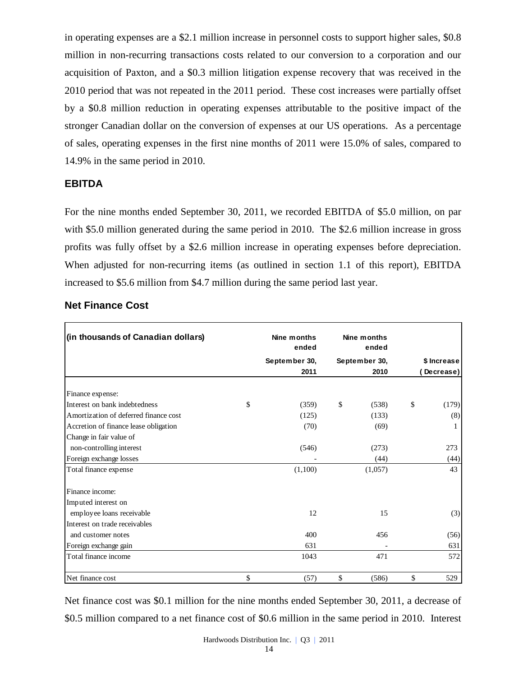in operating expenses are a \$2.1 million increase in personnel costs to support higher sales, \$0.8 million in non-recurring transactions costs related to our conversion to a corporation and our acquisition of Paxton, and a \$0.3 million litigation expense recovery that was received in the 2010 period that was not repeated in the 2011 period. These cost increases were partially offset by a \$0.8 million reduction in operating expenses attributable to the positive impact of the stronger Canadian dollar on the conversion of expenses at our US operations. As a percentage of sales, operating expenses in the first nine months of 2011 were 15.0% of sales, compared to 14.9% in the same period in 2010.

### **EBITDA**

For the nine months ended September 30, 2011, we recorded EBITDA of \$5.0 million, on par with \$5.0 million generated during the same period in 2010. The \$2.6 million increase in gross profits was fully offset by a \$2.6 million increase in operating expenses before depreciation. When adjusted for non-recurring items (as outlined in section 1.1 of this report), EBITDA increased to \$5.6 million from \$4.7 million during the same period last year.

| (in thousands of Canadian dollars)    | Nine months<br>ended | Nine months<br>ended |              |             |
|---------------------------------------|----------------------|----------------------|--------------|-------------|
|                                       | September 30,        | September 30,        |              | \$ Increase |
|                                       | 2011                 | 2010                 |              | Decrease)   |
| Finance expense:                      |                      |                      |              |             |
| Interest on bank indebtedness         | \$<br>(359)          | \$<br>(538)          | \$           | (179)       |
| Amortization of deferred finance cost | (125)                | (133)                |              | (8)         |
| Accretion of finance lease obligation | (70)                 | (69)                 |              |             |
| Change in fair value of               |                      |                      |              |             |
| non-controlling interest              | (546)                | (273)                |              | 273         |
| Foreign exchange losses               |                      | (44)                 |              | (44)        |
| Total finance expense                 | (1,100)              | (1,057)              |              | 43          |
| Finance income:                       |                      |                      |              |             |
| Imputed interest on                   |                      |                      |              |             |
| employee loans receivable             | 12                   | 15                   |              | (3)         |
| Interest on trade receivables         |                      |                      |              |             |
| and customer notes                    | 400                  | 456                  |              | (56)        |
| Foreign exchange gain                 | 631                  |                      |              | 631         |
| Total finance income                  | 1043                 | 471                  |              | 572         |
| Net finance cost                      | \$<br>(57)           | \$<br>(586)          | $\mathbb{S}$ | 529         |

### **Net Finance Cost**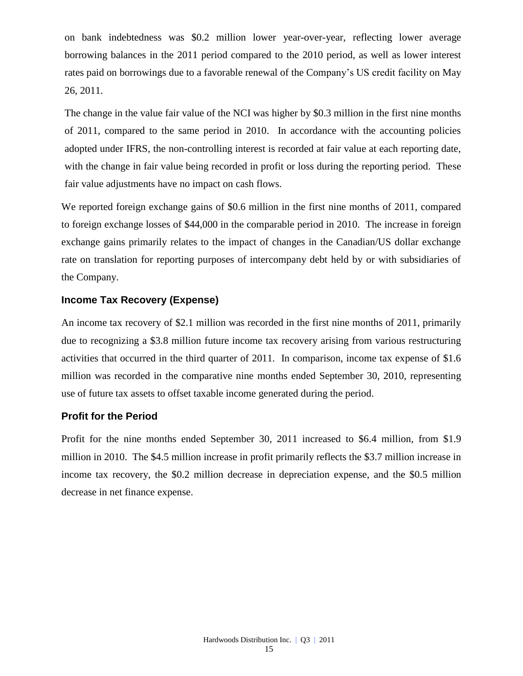on bank indebtedness was \$0.2 million lower year-over-year, reflecting lower average borrowing balances in the 2011 period compared to the 2010 period, as well as lower interest rates paid on borrowings due to a favorable renewal of the Company's US credit facility on May 26, 2011.

The change in the value fair value of the NCI was higher by \$0.3 million in the first nine months of 2011, compared to the same period in 2010. In accordance with the accounting policies adopted under IFRS, the non-controlling interest is recorded at fair value at each reporting date, with the change in fair value being recorded in profit or loss during the reporting period. These fair value adjustments have no impact on cash flows.

We reported foreign exchange gains of \$0.6 million in the first nine months of 2011, compared to foreign exchange losses of \$44,000 in the comparable period in 2010. The increase in foreign exchange gains primarily relates to the impact of changes in the Canadian/US dollar exchange rate on translation for reporting purposes of intercompany debt held by or with subsidiaries of the Company.

### **Income Tax Recovery (Expense)**

An income tax recovery of \$2.1 million was recorded in the first nine months of 2011, primarily due to recognizing a \$3.8 million future income tax recovery arising from various restructuring activities that occurred in the third quarter of 2011. In comparison, income tax expense of \$1.6 million was recorded in the comparative nine months ended September 30, 2010, representing use of future tax assets to offset taxable income generated during the period.

### **Profit for the Period**

Profit for the nine months ended September 30, 2011 increased to \$6.4 million, from \$1.9 million in 2010. The \$4.5 million increase in profit primarily reflects the \$3.7 million increase in income tax recovery, the \$0.2 million decrease in depreciation expense, and the \$0.5 million decrease in net finance expense.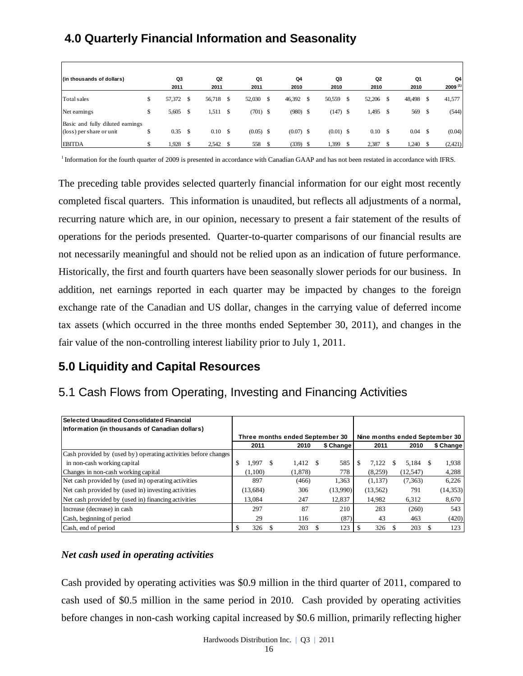# **4.0 Quarterly Financial Information and Seasonality**

| (in thousands of dollars)                                    | Q3              | Q <sub>2</sub> | Q1                |      | Q4          |    | Q3          |   | Q2          | Q1     |      | Q4           |
|--------------------------------------------------------------|-----------------|----------------|-------------------|------|-------------|----|-------------|---|-------------|--------|------|--------------|
|                                                              | 2011            | 2011           | 2011              |      | 2010        |    | 2010        |   | 2010        | 2010   |      | $2009^{(1)}$ |
| Total sales                                                  | \$<br>57,372 \$ | 56,718         | \$<br>52,030      | - \$ | 46,392      | S. | 50,559      | S | 52,206 \$   | 48,498 | £.   | 41,577       |
| Net earnings                                                 | \$<br>5,605 \$  | 1,511          | \$<br>$(701)$ \$  |      | $(980)$ \$  |    | $(147)$ \$  |   | 1,495       | 569    | - \$ | (544)        |
| Basic and fully diluted earnings<br>(loss) per share or unit | \$<br>$0.35$ \$ | 0.10           | \$<br>$(0.05)$ \$ |      | $(0.07)$ \$ |    | $(0.01)$ \$ |   | $0.10\,$ \$ | 0.04   | -S   | (0.04)       |
| <b>EBITDA</b>                                                | \$<br>1,928     | 2,542          | 558               |      | $(339)$ \$  |    | 1,399       |   | 2,387       | 1,240  |      | (2,421)      |

<sup>1</sup> Information for the fourth quarter of 2009 is presented in accordance with Canadian GAAP and has not been restated in accordance with IFRS.

The preceding table provides selected quarterly financial information for our eight most recently completed fiscal quarters. This information is unaudited, but reflects all adjustments of a normal, recurring nature which are, in our opinion, necessary to present a fair statement of the results of operations for the periods presented. Quarter-to-quarter comparisons of our financial results are not necessarily meaningful and should not be relied upon as an indication of future performance. Historically, the first and fourth quarters have been seasonally slower periods for our business. In addition, net earnings reported in each quarter may be impacted by changes to the foreign exchange rate of the Canadian and US dollar, changes in the carrying value of deferred income tax assets (which occurred in the three months ended September 30, 2011), and changes in the fair value of the non-controlling interest liability prior to July 1, 2011.

# **5.0 Liquidity and Capital Resources**

# 5.1 Cash Flows from Operating, Investing and Financing Activities

| l Selected Unaudited Consolidated Financial                    |               |          |    |         |      |                                 |     |           |           |                                |
|----------------------------------------------------------------|---------------|----------|----|---------|------|---------------------------------|-----|-----------|-----------|--------------------------------|
| Information (in thousands of Canadian dollars)                 |               |          |    |         |      |                                 |     |           |           |                                |
|                                                                |               |          |    |         |      | Three months ended September 30 |     |           |           | Nine months ended September 30 |
|                                                                |               | 2011     |    | 2010    |      | \$ Change                       |     | 2011      | 2010      | \$ Change                      |
| Cash provided by (used by) operating activities before changes |               |          |    |         |      |                                 |     |           |           |                                |
| in non-cash working capital                                    | <sup>\$</sup> | 1.997    | -S | 1,412   | - \$ | 585                             | \$. | 7.122     | 5.184     | 1,938                          |
| Changes in non-cash working capital                            |               | (1.100)  |    | (1,878) |      | 778                             |     | (8,259)   | (12, 547) | 4,288                          |
| Net cash provided by (used in) operating activities            |               | 897      |    | (466)   |      | 1,363                           |     | (1,137)   | (7, 363)  | 6,226                          |
| Net cash provided by (used in) investing activities            |               | (13,684) |    | 306     |      | (13,990)                        |     | (13, 562) | 791       | (14, 353)                      |
| Net cash provided by (used in) financing activities            |               | 13.084   |    | 247     |      | 12.837                          |     | 14.982    | 6,312     | 8,670                          |
| Increase (decrease) in cash                                    |               | 297      |    | 87      |      | 210                             |     | 283       | (260)     | 543                            |
| Cash, beginning of period                                      |               | 29       |    | 116     |      | (87)                            |     | 43        | 463       | (420)                          |
| Cash, end of period                                            | ъ             | 326      |    | 203     |      | 123                             |     | 326       | 203       | 123                            |

### *Net cash used in operating activities*

Cash provided by operating activities was \$0.9 million in the third quarter of 2011, compared to cash used of \$0.5 million in the same period in 2010. Cash provided by operating activities before changes in non-cash working capital increased by \$0.6 million, primarily reflecting higher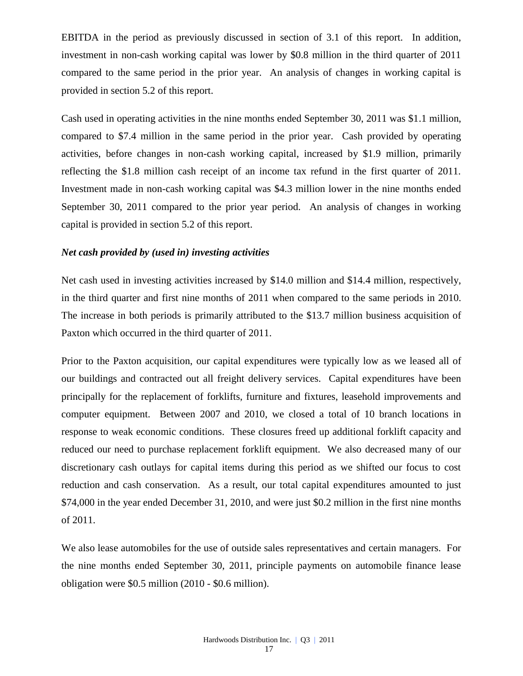EBITDA in the period as previously discussed in section of 3.1 of this report. In addition, investment in non-cash working capital was lower by \$0.8 million in the third quarter of 2011 compared to the same period in the prior year. An analysis of changes in working capital is provided in section 5.2 of this report.

Cash used in operating activities in the nine months ended September 30, 2011 was \$1.1 million, compared to \$7.4 million in the same period in the prior year. Cash provided by operating activities, before changes in non-cash working capital, increased by \$1.9 million, primarily reflecting the \$1.8 million cash receipt of an income tax refund in the first quarter of 2011. Investment made in non-cash working capital was \$4.3 million lower in the nine months ended September 30, 2011 compared to the prior year period. An analysis of changes in working capital is provided in section 5.2 of this report.

#### *Net cash provided by (used in) investing activities*

Net cash used in investing activities increased by \$14.0 million and \$14.4 million, respectively, in the third quarter and first nine months of 2011 when compared to the same periods in 2010. The increase in both periods is primarily attributed to the \$13.7 million business acquisition of Paxton which occurred in the third quarter of 2011.

Prior to the Paxton acquisition, our capital expenditures were typically low as we leased all of our buildings and contracted out all freight delivery services. Capital expenditures have been principally for the replacement of forklifts, furniture and fixtures, leasehold improvements and computer equipment. Between 2007 and 2010, we closed a total of 10 branch locations in response to weak economic conditions. These closures freed up additional forklift capacity and reduced our need to purchase replacement forklift equipment. We also decreased many of our discretionary cash outlays for capital items during this period as we shifted our focus to cost reduction and cash conservation. As a result, our total capital expenditures amounted to just \$74,000 in the year ended December 31, 2010, and were just \$0.2 million in the first nine months of 2011.

We also lease automobiles for the use of outside sales representatives and certain managers. For the nine months ended September 30, 2011, principle payments on automobile finance lease obligation were \$0.5 million (2010 - \$0.6 million).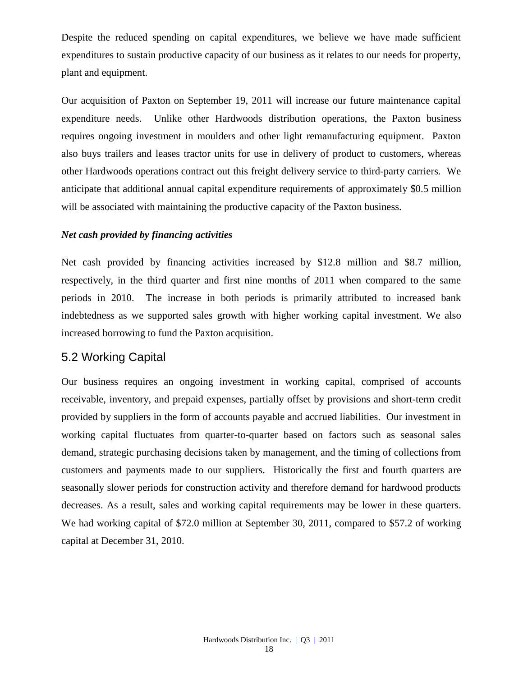Despite the reduced spending on capital expenditures, we believe we have made sufficient expenditures to sustain productive capacity of our business as it relates to our needs for property, plant and equipment.

Our acquisition of Paxton on September 19, 2011 will increase our future maintenance capital expenditure needs. Unlike other Hardwoods distribution operations, the Paxton business requires ongoing investment in moulders and other light remanufacturing equipment. Paxton also buys trailers and leases tractor units for use in delivery of product to customers, whereas other Hardwoods operations contract out this freight delivery service to third-party carriers. We anticipate that additional annual capital expenditure requirements of approximately \$0.5 million will be associated with maintaining the productive capacity of the Paxton business.

### *Net cash provided by financing activities*

Net cash provided by financing activities increased by \$12.8 million and \$8.7 million, respectively, in the third quarter and first nine months of 2011 when compared to the same periods in 2010. The increase in both periods is primarily attributed to increased bank indebtedness as we supported sales growth with higher working capital investment. We also increased borrowing to fund the Paxton acquisition.

### 5.2 Working Capital

Our business requires an ongoing investment in working capital, comprised of accounts receivable, inventory, and prepaid expenses, partially offset by provisions and short-term credit provided by suppliers in the form of accounts payable and accrued liabilities. Our investment in working capital fluctuates from quarter-to-quarter based on factors such as seasonal sales demand, strategic purchasing decisions taken by management, and the timing of collections from customers and payments made to our suppliers. Historically the first and fourth quarters are seasonally slower periods for construction activity and therefore demand for hardwood products decreases. As a result, sales and working capital requirements may be lower in these quarters. We had working capital of \$72.0 million at September 30, 2011, compared to \$57.2 of working capital at December 31, 2010.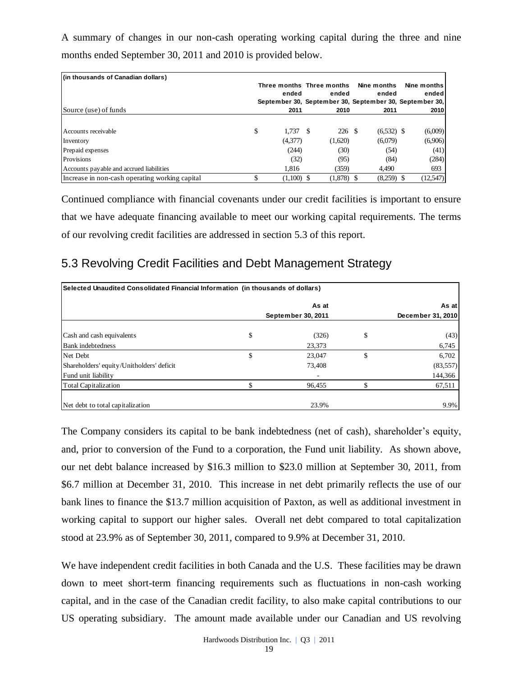A summary of changes in our non-cash operating working capital during the three and nine months ended September 30, 2011 and 2010 is provided below.

| (in thousands of Canadian dollars)             |    |                           |         |              |                                                         |
|------------------------------------------------|----|---------------------------|---------|--------------|---------------------------------------------------------|
|                                                |    | Three months Three months |         | Nine months  | Nine months                                             |
|                                                |    | ended                     | ended   | ended        | ended                                                   |
|                                                |    |                           |         |              | September 30, September 30, September 30, September 30, |
| Source (use) of funds                          |    | 2011                      | 2010    | 2011         | 2010                                                    |
|                                                |    |                           |         |              |                                                         |
| Accounts receivable                            | \$ | 1.737S                    | 226 \$  | $(6,532)$ \$ | (6,009)                                                 |
| Inventory                                      |    | (4,377)                   | (1,620) | (6,079)      | (6,906)                                                 |
| Prepaid expenses                               |    | (244)                     | (30)    | (54)         | (41)                                                    |
| Provisions                                     |    | (32)                      | (95)    | (84)         | (284)                                                   |
| Accounts payable and accrued liabilities       |    | 1.816                     | (359)   | 4,490        | 693                                                     |
| Increase in non-cash operating working capital | S  | $(1,100)$ \$              | (1,878) | $(8,259)$ \$ | (12, 547)                                               |

## 5.3 Revolving Credit Facilities and Debt Management Strategy

| (in thousands of Canadian dollars)                                                                  |                           |              |                                                                  |                   |
|-----------------------------------------------------------------------------------------------------|---------------------------|--------------|------------------------------------------------------------------|-------------------|
|                                                                                                     | Three months Three months |              | Nine months                                                      | Nine months       |
|                                                                                                     | ended                     | ended        | ended<br>September 30, September 30, September 30, September 30, | ended             |
| Source (use) of funds                                                                               | 2011                      | 2010         | 2011                                                             | 2010              |
|                                                                                                     |                           |              |                                                                  |                   |
| Accounts receivable                                                                                 | \$<br>$1,737$ \$          | 226 \$       | $(6,532)$ \$                                                     | (6,009)           |
| Inventory                                                                                           | (4,377)                   | (1,620)      | (6,079)                                                          | (6,906)           |
| Prepaid expenses                                                                                    | (244)                     | (30)         | (54)                                                             | (41)              |
| Provisions                                                                                          | (32)                      | (95)         | (84)                                                             | (284)             |
| Accounts payable and accrued liabilities                                                            | 1,816                     | (359)        | 4,490                                                            | 693               |
| Increase in non-cash operating working capital                                                      | \$<br>$(1,100)$ \$        | $(1,878)$ \$ | $(8,259)$ \$                                                     | (12, 547)         |
| Continued compliance with financial covenants under our credit facilities is important to ensure    |                           |              |                                                                  |                   |
|                                                                                                     |                           |              |                                                                  |                   |
| that we have adequate financing available to meet our working capital requirements. The terms       |                           |              |                                                                  |                   |
|                                                                                                     |                           |              |                                                                  |                   |
| of our revolving credit facilities are addressed in section 5.3 of this report.                     |                           |              |                                                                  |                   |
|                                                                                                     |                           |              |                                                                  |                   |
| 5.3 Revolving Credit Facilities and Debt Management Strategy                                        |                           |              |                                                                  |                   |
|                                                                                                     |                           |              |                                                                  |                   |
|                                                                                                     |                           |              |                                                                  |                   |
| Selected Unaudited Consolidated Financial Information (in thousands of dollars)                     |                           |              |                                                                  |                   |
|                                                                                                     |                           | As at        |                                                                  | As at             |
|                                                                                                     | September 30, 2011        |              |                                                                  | December 31, 2010 |
|                                                                                                     |                           |              |                                                                  |                   |
| Cash and cash equivalents                                                                           | \$                        | (326)        | \$                                                               | (43)              |
| Bank indebtedness                                                                                   |                           | 23,373       |                                                                  | 6,745             |
| Net Debt                                                                                            | $\mathbb{S}$              | 23,047       | \$                                                               | 6,702             |
| Shareholders' equity/Unitholders' deficit                                                           |                           | 73,408       |                                                                  | (83, 557)         |
| Fund unit liability                                                                                 |                           |              |                                                                  | 144,366           |
| <b>Total Capitalization</b>                                                                         | \$                        | 96,455       | \$                                                               | 67,511            |
| Net debt to total capitalization                                                                    |                           | 23.9%        |                                                                  | 9.9%              |
|                                                                                                     |                           |              |                                                                  |                   |
|                                                                                                     |                           |              |                                                                  |                   |
| The Company considers its capital to be bank indebtedness (net of cash), shareholder's equity,      |                           |              |                                                                  |                   |
| and, prior to conversion of the Fund to a corporation, the Fund unit liability. As shown above,     |                           |              |                                                                  |                   |
|                                                                                                     |                           |              |                                                                  |                   |
| our net debt balance increased by \$16.3 million to \$23.0 million at September 30, 2011, from      |                           |              |                                                                  |                   |
| \$6.7 million at December 31, 2010. This increase in net debt primarily reflects the use of our     |                           |              |                                                                  |                   |
|                                                                                                     |                           |              |                                                                  |                   |
| bank lines to finance the \$13.7 million acquisition of Paxton, as well as additional investment in |                           |              |                                                                  |                   |
| working capital to support our higher sales. Overall net debt compared to total capitalization      |                           |              |                                                                  |                   |
|                                                                                                     |                           |              |                                                                  |                   |
| stood at 23.9% as of September 30, 2011, compared to 9.9% at December 31, 2010.                     |                           |              |                                                                  |                   |
| We have independent credit facilities in both Canada and the U.S. These facilities may be drawn     |                           |              |                                                                  |                   |
|                                                                                                     |                           |              |                                                                  |                   |
| down to meet short-term financing requirements such as fluctuations in non-cash working             |                           |              |                                                                  |                   |
| capital, and in the case of the Canadian credit facility, to also make capital contributions to our |                           |              |                                                                  |                   |
|                                                                                                     |                           |              |                                                                  |                   |
| US operating subsidiary. The amount made available under our Canadian and US revolving              |                           |              |                                                                  |                   |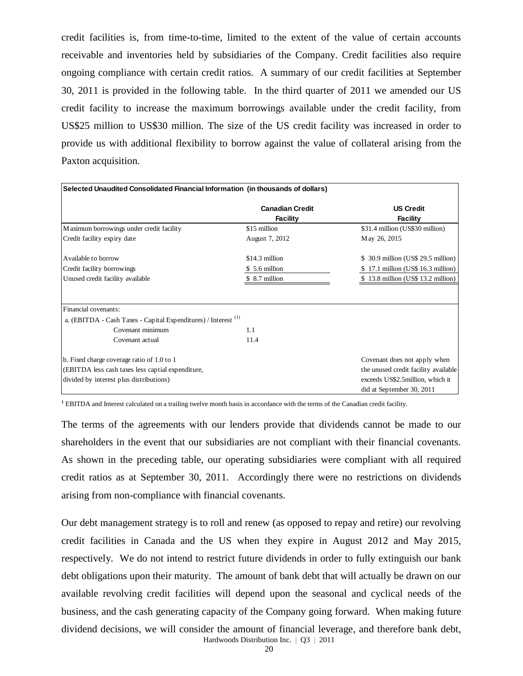credit facilities is, from time-to-time, limited to the extent of the value of certain accounts receivable and inventories held by subsidiaries of the Company. Credit facilities also require ongoing compliance with certain credit ratios. A summary of our credit facilities at September 30, 2011 is provided in the following table. In the third quarter of 2011 we amended our US credit facility to increase the maximum borrowings available under the credit facility, from US\$25 million to US\$30 million. The size of the US credit facility was increased in order to provide us with additional flexibility to borrow against the value of collateral arising from the Paxton acquisition.

| Selected Unaudited Consolidated Financial Information (in thousands of dollars) |                                    |                                                                |
|---------------------------------------------------------------------------------|------------------------------------|----------------------------------------------------------------|
|                                                                                 | <b>Canadian Credit</b><br>Facility | <b>US Credit</b><br>Facility                                   |
| Maximum borrowings under credit facility                                        | \$15 million                       | \$31.4 million (US\$30 million)                                |
| Credit facility expiry date                                                     | August 7, 2012                     | May 26, 2015                                                   |
| Available to borrow                                                             | \$14.3 million                     | $$30.9$ million (US\$ 29.5 million)                            |
| Credit facility borrowings                                                      | \$5.6 million                      | 17.1 million (US\$ 16.3 million)                               |
| Unused credit facility available                                                | \$ 8.7 million                     | \$13.8 million (US\$13.2 million)                              |
| Financial covenants:                                                            |                                    |                                                                |
| a. (EBITDA - Cash Taxes - Capital Expenditures) / Interest <sup>(1)</sup>       |                                    |                                                                |
| Covenant minimum                                                                | 1.1                                |                                                                |
| Covenant actual                                                                 | 11.4                               |                                                                |
| b. Fixed charge coverage ratio of 1.0 to 1                                      |                                    | Covenant does not apply when                                   |
| (EBITDA less cash taxes less captial expenditure,                               |                                    | the unused credit facility available                           |
| divided by interest plus distributions)                                         |                                    | exceeds US\$2.5 million, which it<br>did at September 30, 2011 |

**<sup>1</sup>** EBITDA and Interest calculated on a trailing twelve month basis in accordance with the terms of the Canadian credit facility.

The terms of the agreements with our lenders provide that dividends cannot be made to our shareholders in the event that our subsidiaries are not compliant with their financial covenants. As shown in the preceding table, our operating subsidiaries were compliant with all required credit ratios as at September 30, 2011. Accordingly there were no restrictions on dividends arising from non-compliance with financial covenants.

Hardwoods Distribution Inc. | Q3 | 2011 Our debt management strategy is to roll and renew (as opposed to repay and retire) our revolving credit facilities in Canada and the US when they expire in August 2012 and May 2015, respectively. We do not intend to restrict future dividends in order to fully extinguish our bank debt obligations upon their maturity. The amount of bank debt that will actually be drawn on our available revolving credit facilities will depend upon the seasonal and cyclical needs of the business, and the cash generating capacity of the Company going forward. When making future dividend decisions, we will consider the amount of financial leverage, and therefore bank debt,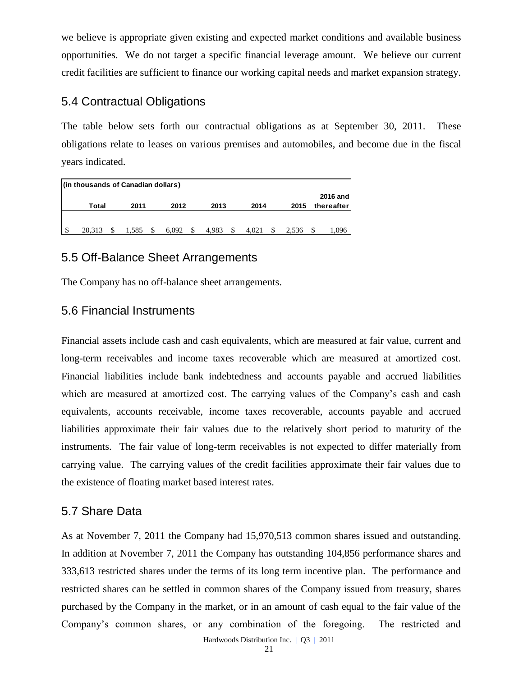we believe is appropriate given existing and expected market conditions and available business opportunities. We do not target a specific financial leverage amount. We believe our current credit facilities are sufficient to finance our working capital needs and market expansion strategy.

## 5.4 Contractual Obligations

The table below sets forth our contractual obligations as at September 30, 2011. These obligations relate to leases on various premises and automobiles, and become due in the fiscal years indicated.

| (in thousands of Canadian dollars) |       |       |   |       |             |   |       |                        |
|------------------------------------|-------|-------|---|-------|-------------|---|-------|------------------------|
| Total                              | 2011  | 2012  |   | 2013  | 2014        |   | 2015  | 2016 and<br>thereafter |
|                                    |       |       |   |       |             |   |       |                        |
| 20.313                             | 1.585 | 6.092 | S | 4.983 | \$<br>4.021 | S | 2.536 | 1.096                  |

## 5.5 Off-Balance Sheet Arrangements

The Company has no off-balance sheet arrangements.

## 5.6 Financial Instruments

Financial assets include cash and cash equivalents, which are measured at fair value, current and long-term receivables and income taxes recoverable which are measured at amortized cost. Financial liabilities include bank indebtedness and accounts payable and accrued liabilities which are measured at amortized cost. The carrying values of the Company's cash and cash equivalents, accounts receivable, income taxes recoverable, accounts payable and accrued liabilities approximate their fair values due to the relatively short period to maturity of the instruments. The fair value of long-term receivables is not expected to differ materially from carrying value. The carrying values of the credit facilities approximate their fair values due to the existence of floating market based interest rates. Combination of Company and Company has the restricted and the restricted and the restricted and the foregoing. The restricted and the restricted and the foregoing. The restricted and the foregoing. The company is so of the

### 5.7 Share Data

As at November 7, 2011 the Company had 15,970,513 common shares issued and outstanding. In addition at November 7, 2011 the Company has outstanding 104,856 performance shares and 333,613 restricted shares under the terms of its long term incentive plan. The performance and restricted shares can be settled in common shares of the Company issued from treasury, shares purchased by the Company in the market, or in an amount of cash equal to the fair value of the

Hardwoods Distribution Inc. | Q3 | 2011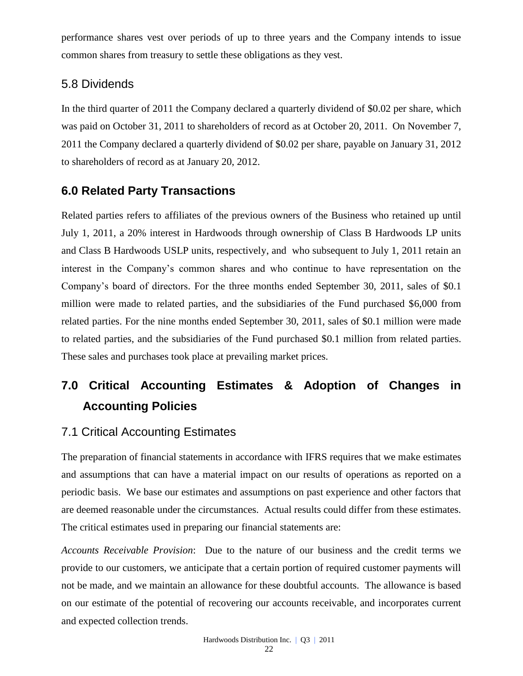performance shares vest over periods of up to three years and the Company intends to issue common shares from treasury to settle these obligations as they vest.

### 5.8 Dividends

In the third quarter of 2011 the Company declared a quarterly dividend of \$0.02 per share, which was paid on October 31, 2011 to shareholders of record as at October 20, 2011. On November 7, 2011 the Company declared a quarterly dividend of \$0.02 per share, payable on January 31, 2012 to shareholders of record as at January 20, 2012.

## **6.0 Related Party Transactions**

Related parties refers to affiliates of the previous owners of the Business who retained up until July 1, 2011, a 20% interest in Hardwoods through ownership of Class B Hardwoods LP units and Class B Hardwoods USLP units, respectively, and who subsequent to July 1, 2011 retain an interest in the Company's common shares and who continue to have representation on the Company's board of directors. For the three months ended September 30, 2011, sales of \$0.1 million were made to related parties, and the subsidiaries of the Fund purchased \$6,000 from related parties. For the nine months ended September 30, 2011, sales of \$0.1 million were made to related parties, and the subsidiaries of the Fund purchased \$0.1 million from related parties. These sales and purchases took place at prevailing market prices.

# **7.0 Critical Accounting Estimates & Adoption of Changes in Accounting Policies**

## 7.1 Critical Accounting Estimates

The preparation of financial statements in accordance with IFRS requires that we make estimates and assumptions that can have a material impact on our results of operations as reported on a periodic basis. We base our estimates and assumptions on past experience and other factors that are deemed reasonable under the circumstances. Actual results could differ from these estimates. The critical estimates used in preparing our financial statements are:

*Accounts Receivable Provision*: Due to the nature of our business and the credit terms we provide to our customers, we anticipate that a certain portion of required customer payments will not be made, and we maintain an allowance for these doubtful accounts. The allowance is based on our estimate of the potential of recovering our accounts receivable, and incorporates current and expected collection trends.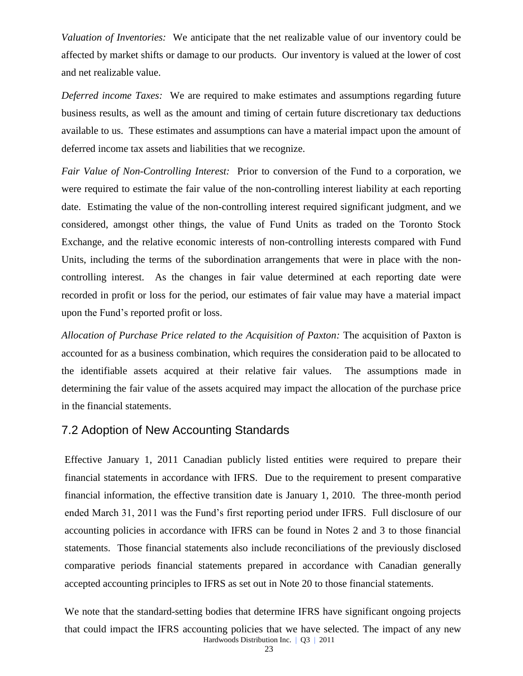*Valuation of Inventories:* We anticipate that the net realizable value of our inventory could be affected by market shifts or damage to our products. Our inventory is valued at the lower of cost and net realizable value.

*Deferred income Taxes:* We are required to make estimates and assumptions regarding future business results, as well as the amount and timing of certain future discretionary tax deductions available to us. These estimates and assumptions can have a material impact upon the amount of deferred income tax assets and liabilities that we recognize.

*Fair Value of Non-Controlling Interest:* Prior to conversion of the Fund to a corporation, we were required to estimate the fair value of the non-controlling interest liability at each reporting date. Estimating the value of the non-controlling interest required significant judgment, and we considered, amongst other things, the value of Fund Units as traded on the Toronto Stock Exchange, and the relative economic interests of non-controlling interests compared with Fund Units, including the terms of the subordination arrangements that were in place with the noncontrolling interest. As the changes in fair value determined at each reporting date were recorded in profit or loss for the period, our estimates of fair value may have a material impact upon the Fund's reported profit or loss.

*Allocation of Purchase Price related to the Acquisition of Paxton:* The acquisition of Paxton is accounted for as a business combination, which requires the consideration paid to be allocated to the identifiable assets acquired at their relative fair values. The assumptions made in determining the fair value of the assets acquired may impact the allocation of the purchase price in the financial statements.

## 7.2 Adoption of New Accounting Standards

Effective January 1, 2011 Canadian publicly listed entities were required to prepare their financial statements in accordance with IFRS. Due to the requirement to present comparative financial information, the effective transition date is January 1, 2010. The three-month period ended March 31, 2011 was the Fund's first reporting period under IFRS. Full disclosure of our accounting policies in accordance with IFRS can be found in Notes 2 and 3 to those financial statements. Those financial statements also include reconciliations of the previously disclosed comparative periods financial statements prepared in accordance with Canadian generally accepted accounting principles to IFRS as set out in Note 20 to those financial statements.

Hardwoods Distribution Inc. | Q3 | 2011 We note that the standard-setting bodies that determine IFRS have significant ongoing projects that could impact the IFRS accounting policies that we have selected. The impact of any new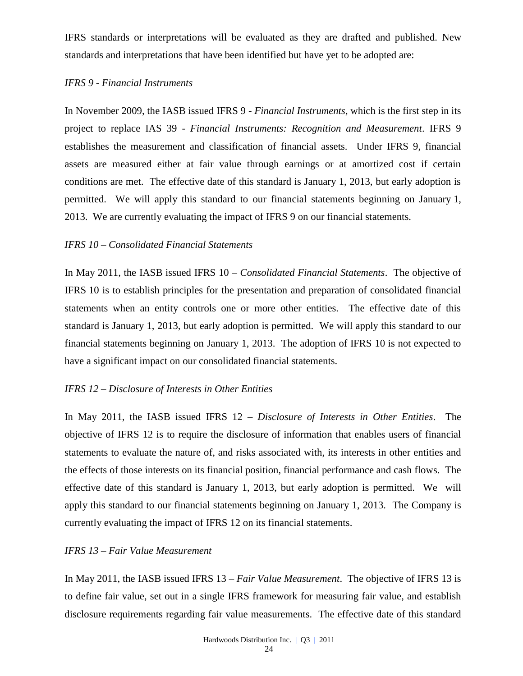IFRS standards or interpretations will be evaluated as they are drafted and published. New standards and interpretations that have been identified but have yet to be adopted are:

#### *IFRS 9 - Financial Instruments*

In November 2009, the IASB issued IFRS 9 - *Financial Instruments*, which is the first step in its project to replace IAS 39 - *Financial Instruments: Recognition and Measurement*. IFRS 9 establishes the measurement and classification of financial assets. Under IFRS 9, financial assets are measured either at fair value through earnings or at amortized cost if certain conditions are met. The effective date of this standard is January 1, 2013, but early adoption is permitted. We will apply this standard to our financial statements beginning on January 1, 2013. We are currently evaluating the impact of IFRS 9 on our financial statements.

### *IFRS 10 – Consolidated Financial Statements*

In May 2011, the IASB issued IFRS 10 – *Consolidated Financial Statements*. The objective of IFRS 10 is to establish principles for the presentation and preparation of consolidated financial statements when an entity controls one or more other entities. The effective date of this standard is January 1, 2013, but early adoption is permitted. We will apply this standard to our financial statements beginning on January 1, 2013. The adoption of IFRS 10 is not expected to have a significant impact on our consolidated financial statements.

### *IFRS 12 – Disclosure of Interests in Other Entities*

In May 2011, the IASB issued IFRS 12 – *Disclosure of Interests in Other Entities*. The objective of IFRS 12 is to require the disclosure of information that enables users of financial statements to evaluate the nature of, and risks associated with, its interests in other entities and the effects of those interests on its financial position, financial performance and cash flows. The effective date of this standard is January 1, 2013, but early adoption is permitted. We will apply this standard to our financial statements beginning on January 1, 2013. The Company is currently evaluating the impact of IFRS 12 on its financial statements.

### *IFRS 13 – Fair Value Measurement*

In May 2011, the IASB issued IFRS 13 – *Fair Value Measurement*. The objective of IFRS 13 is to define fair value, set out in a single IFRS framework for measuring fair value, and establish disclosure requirements regarding fair value measurements. The effective date of this standard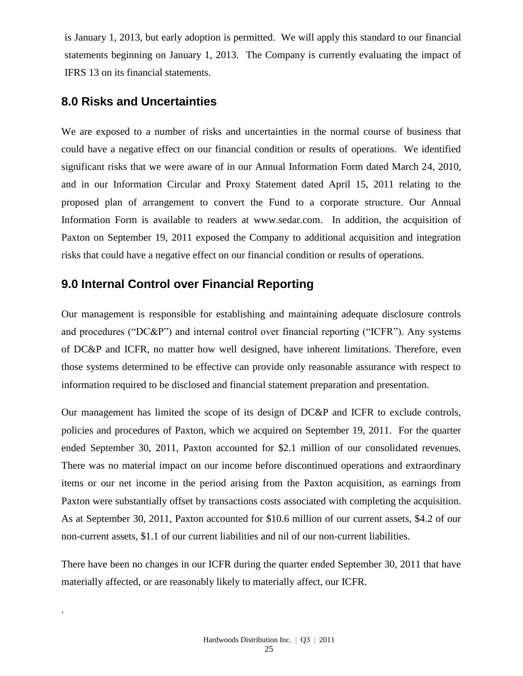is January 1, 2013, but early adoption is permitted. We will apply this standard to our financial statements beginning on January 1, 2013. The Company is currently evaluating the impact of IFRS 13 on its financial statements.

## **8.0 Risks and Uncertainties**

.

We are exposed to a number of risks and uncertainties in the normal course of business that could have a negative effect on our financial condition or results of operations. We identified significant risks that we were aware of in our Annual Information Form dated March 24, 2010, and in our Information Circular and Proxy Statement dated April 15, 2011 relating to the proposed plan of arrangement to convert the Fund to a corporate structure. Our Annual Information Form is available to readers at [www.sedar.com.](http://www.sedar.com/) In addition, the acquisition of Paxton on September 19, 2011 exposed the Company to additional acquisition and integration risks that could have a negative effect on our financial condition or results of operations.

## **9.0 Internal Control over Financial Reporting**

Our management is responsible for establishing and maintaining adequate disclosure controls and procedures ("DC&P") and internal control over financial reporting ("ICFR"). Any systems of DC&P and ICFR, no matter how well designed, have inherent limitations. Therefore, even those systems determined to be effective can provide only reasonable assurance with respect to information required to be disclosed and financial statement preparation and presentation.

Our management has limited the scope of its design of DC&P and ICFR to exclude controls, policies and procedures of Paxton, which we acquired on September 19, 2011. For the quarter ended September 30, 2011, Paxton accounted for \$2.1 million of our consolidated revenues. There was no material impact on our income before discontinued operations and extraordinary items or our net income in the period arising from the Paxton acquisition, as earnings from Paxton were substantially offset by transactions costs associated with completing the acquisition. As at September 30, 2011, Paxton accounted for \$10.6 million of our current assets, \$4.2 of our non-current assets, \$1.1 of our current liabilities and nil of our non-current liabilities.

There have been no changes in our ICFR during the quarter ended September 30, 2011 that have materially affected, or are reasonably likely to materially affect, our ICFR.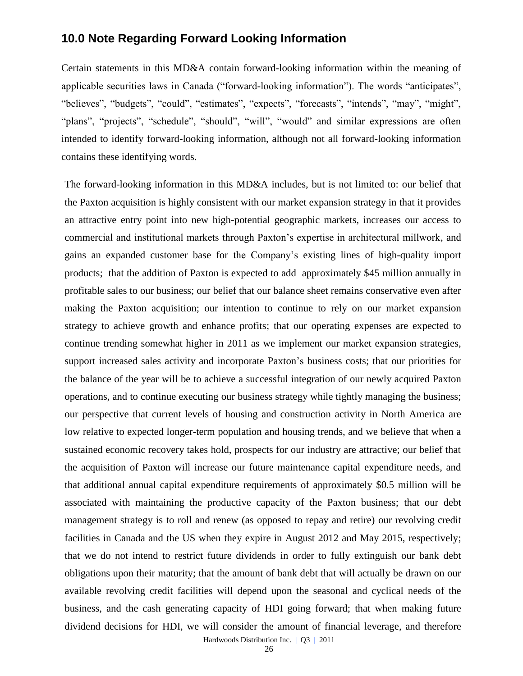## **10.0 Note Regarding Forward Looking Information**

Certain statements in this MD&A contain forward-looking information within the meaning of applicable securities laws in Canada ("forward-looking information"). The words "anticipates", "believes", "budgets", "could", "estimates", "expects", "forecasts", "intends", "may", "might", "plans", "projects", "schedule", "should", "will", "would" and similar expressions are often intended to identify forward-looking information, although not all forward-looking information contains these identifying words.

The forward-looking information in this MD&A includes, but is not limited to: our belief that the Paxton acquisition is highly consistent with our market expansion strategy in that it provides an attractive entry point into new high-potential geographic markets, increases our access to commercial and institutional markets through Paxton's expertise in architectural millwork, and gains an expanded customer base for the Company's existing lines of high-quality import products; that the addition of Paxton is expected to add approximately \$45 million annually in profitable sales to our business; our belief that our balance sheet remains conservative even after making the Paxton acquisition; our intention to continue to rely on our market expansion strategy to achieve growth and enhance profits; that our operating expenses are expected to continue trending somewhat higher in 2011 as we implement our market expansion strategies, support increased sales activity and incorporate Paxton's business costs; that our priorities for the balance of the year will be to achieve a successful integration of our newly acquired Paxton operations, and to continue executing our business strategy while tightly managing the business; our perspective that current levels of housing and construction activity in North America are low relative to expected longer-term population and housing trends, and we believe that when a sustained economic recovery takes hold, prospects for our industry are attractive; our belief that the acquisition of Paxton will increase our future maintenance capital expenditure needs, and that additional annual capital expenditure requirements of approximately \$0.5 million will be associated with maintaining the productive capacity of the Paxton business; that our debt management strategy is to roll and renew (as opposed to repay and retire) our revolving credit facilities in Canada and the US when they expire in August 2012 and May 2015, respectively; that we do not intend to restrict future dividends in order to fully extinguish our bank debt obligations upon their maturity; that the amount of bank debt that will actually be drawn on our available revolving credit facilities will depend upon the seasonal and cyclical needs of the business, and the cash generating capacity of HDI going forward; that when making future dividend decisions for HDI, we will consider the amount of financial leverage, and therefore

Hardwoods Distribution Inc. | Q3 | 2011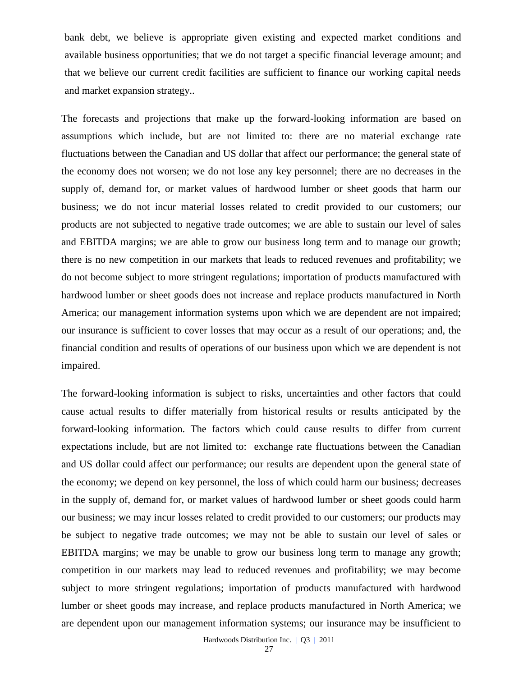bank debt, we believe is appropriate given existing and expected market conditions and available business opportunities; that we do not target a specific financial leverage amount; and that we believe our current credit facilities are sufficient to finance our working capital needs and market expansion strategy..

The forecasts and projections that make up the forward-looking information are based on assumptions which include, but are not limited to: there are no material exchange rate fluctuations between the Canadian and US dollar that affect our performance; the general state of the economy does not worsen; we do not lose any key personnel; there are no decreases in the supply of, demand for, or market values of hardwood lumber or sheet goods that harm our business; we do not incur material losses related to credit provided to our customers; our products are not subjected to negative trade outcomes; we are able to sustain our level of sales and EBITDA margins; we are able to grow our business long term and to manage our growth; there is no new competition in our markets that leads to reduced revenues and profitability; we do not become subject to more stringent regulations; importation of products manufactured with hardwood lumber or sheet goods does not increase and replace products manufactured in North America; our management information systems upon which we are dependent are not impaired; our insurance is sufficient to cover losses that may occur as a result of our operations; and, the financial condition and results of operations of our business upon which we are dependent is not impaired.

The forward-looking information is subject to risks, uncertainties and other factors that could cause actual results to differ materially from historical results or results anticipated by the forward-looking information. The factors which could cause results to differ from current expectations include, but are not limited to: exchange rate fluctuations between the Canadian and US dollar could affect our performance; our results are dependent upon the general state of the economy; we depend on key personnel, the loss of which could harm our business; decreases in the supply of, demand for, or market values of hardwood lumber or sheet goods could harm our business; we may incur losses related to credit provided to our customers; our products may be subject to negative trade outcomes; we may not be able to sustain our level of sales or EBITDA margins; we may be unable to grow our business long term to manage any growth; competition in our markets may lead to reduced revenues and profitability; we may become subject to more stringent regulations; importation of products manufactured with hardwood lumber or sheet goods may increase, and replace products manufactured in North America; we are dependent upon our management information systems; our insurance may be insufficient to